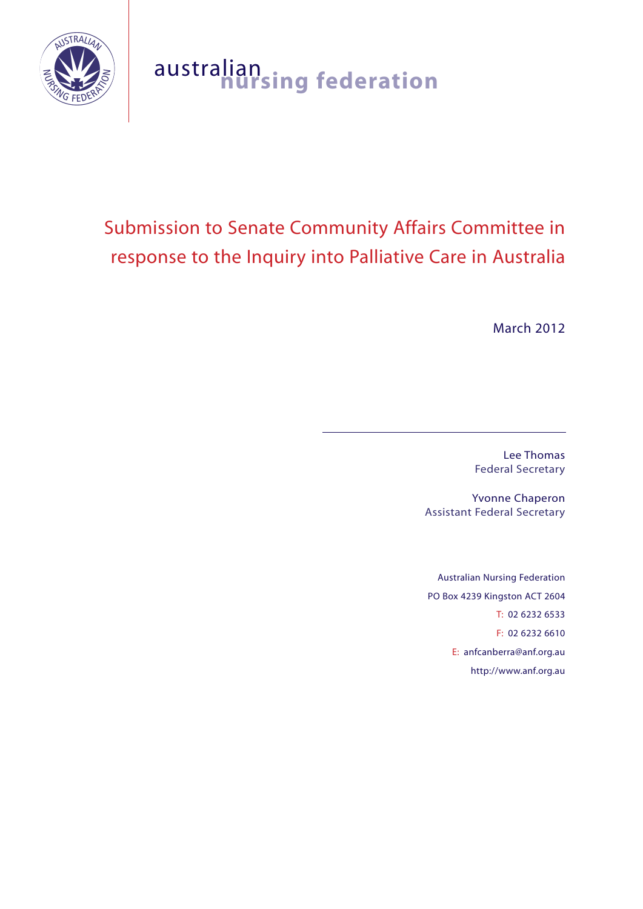

# australian **nursing federation**

# Submission to Senate Community Affairs Committee in response to the Inquiry into Palliative Care in Australia

March 2012

Lee Thomas Federal Secretary

Yvonne Chaperon Assistant Federal Secretary

Australian Nursing Federation PO Box 4239 Kingston ACT 2604 T: 02 6232 6533 F: 02 6232 6610 E: anfcanberra@anf.org.au http://www.anf.org.au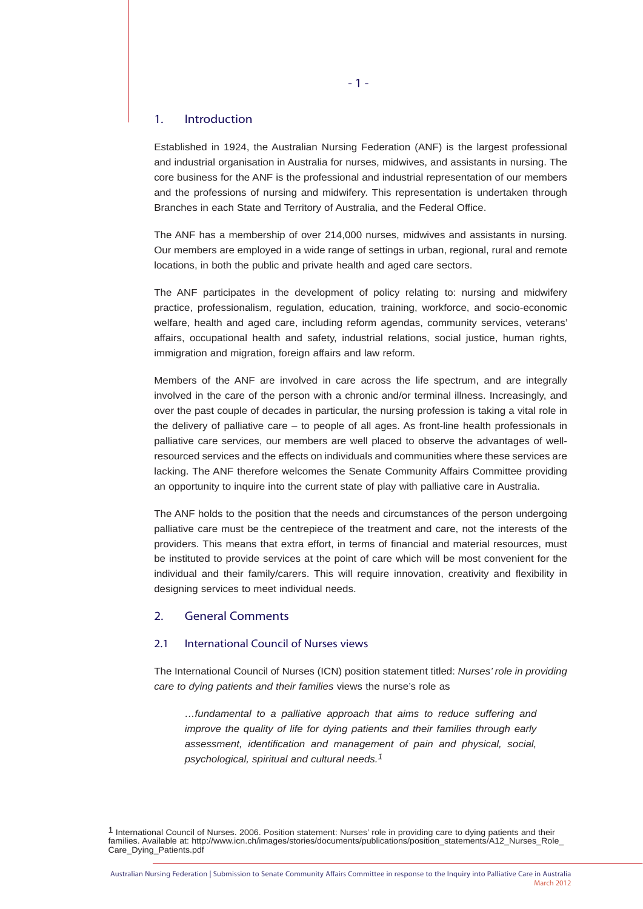#### 1. Introduction

Established in 1924, the Australian Nursing Federation (ANF) is the largest professional and industrial organisation in Australia for nurses, midwives, and assistants in nursing. The core business for the ANF is the professional and industrial representation of our members and the professions of nursing and midwifery. This representation is undertaken through Branches in each State and Territory of Australia, and the Federal Office.

The ANF has a membership of over 214,000 nurses, midwives and assistants in nursing. Our members are employed in a wide range of settings in urban, regional, rural and remote locations, in both the public and private health and aged care sectors.

The ANF participates in the development of policy relating to: nursing and midwifery practice, professionalism, regulation, education, training, workforce, and socio-economic welfare, health and aged care, including reform agendas, community services, veterans' affairs, occupational health and safety, industrial relations, social justice, human rights, immigration and migration, foreign affairs and law reform.

Members of the ANF are involved in care across the life spectrum, and are integrally involved in the care of the person with a chronic and/or terminal illness. Increasingly, and over the past couple of decades in particular, the nursing profession is taking a vital role in the delivery of palliative care – to people of all ages. As front-line health professionals in palliative care services, our members are well placed to observe the advantages of wellresourced services and the effects on individuals and communities where these services are lacking. The ANF therefore welcomes the Senate Community Affairs Committee providing an opportunity to inquire into the current state of play with palliative care in Australia.

The ANF holds to the position that the needs and circumstances of the person undergoing palliative care must be the centrepiece of the treatment and care, not the interests of the providers. This means that extra effort, in terms of financial and material resources, must be instituted to provide services at the point of care which will be most convenient for the individual and their family/carers. This will require innovation, creativity and flexibility in designing services to meet individual needs.

# 2. General Comments

# 2.1 International Council of Nurses views

The International Council of Nurses (ICN) position statement titled: *Nurses' role in providing care to dying patients and their families* views the nurse's role as

*…fundamental to a palliative approach that aims to reduce suffering and improve the quality of life for dying patients and their families through early assessment, identification and management of pain and physical, social, psychological, spiritual and cultural needs.1*

<sup>1</sup> International Council of Nurses. 2006. Position statement: Nurses' role in providing care to dying patients and their families. Available at: http://www.icn.ch/images/stories/documents/publications/position\_statements/A12\_Nurses\_Role\_ Care\_Dying\_Patients.pdf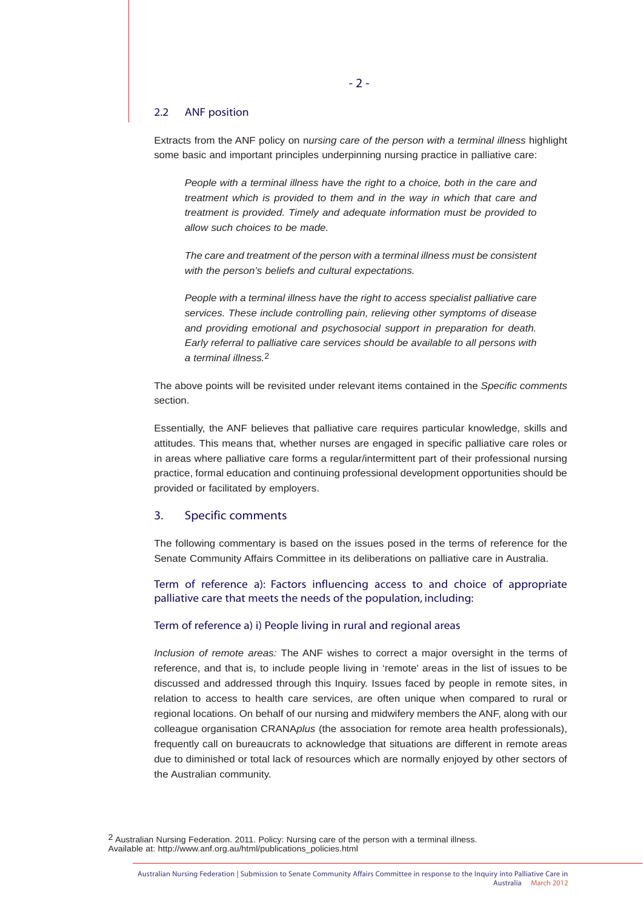#### 2.2 ANF position

Extracts from the ANF policy on n*ursing care of the person with a terminal illness* highlight some basic and important principles underpinning nursing practice in palliative care:

*People with a terminal illness have the right to a choice, both in the care and treatment which is provided to them and in the way in which that care and treatment is provided. Timely and adequate information must be provided to allow such choices to be made.*

*The care and treatment of the person with a terminal illness must be consistent with the person's beliefs and cultural expectations.*

*People with a terminal illness have the right to access specialist palliative care services. These include controlling pain, relieving other symptoms of disease and providing emotional and psychosocial support in preparation for death. Early referral to palliative care services should be available to all persons with a terminal illness.*2

The above points will be revisited under relevant items contained in the *Specific comments* section.

Essentially, the ANF believes that palliative care requires particular knowledge, skills and attitudes. This means that, whether nurses are engaged in specific palliative care roles or in areas where palliative care forms a regular/intermittent part of their professional nursing practice, formal education and continuing professional development opportunities should be provided or facilitated by employers.

# 3. Specific comments

The following commentary is based on the issues posed in the terms of reference for the Senate Community Affairs Committee in its deliberations on palliative care in Australia.

Term of reference a): Factors influencing access to and choice of appropriate palliative care that meets the needs of the population, including:

#### Term of reference a) i) People living in rural and regional areas

*Inclusion of remote areas:* The ANF wishes to correct a major oversight in the terms of reference, and that is, to include people living in 'remote' areas in the list of issues to be discussed and addressed through this Inquiry. Issues faced by people in remote sites, in relation to access to health care services, are often unique when compared to rural or regional locations. On behalf of our nursing and midwifery members the ANF, along with our colleague organisation CRANA*plus* (the association for remote area health professionals), frequently call on bureaucrats to acknowledge that situations are different in remote areas due to diminished or total lack of resources which are normally enjoyed by other sectors of the Australian community.

2 Australian Nursing Federation. 2011. Policy: Nursing care of the person with a terminal illness. Available at: http://www.anf.org.au/html/publications\_policies.html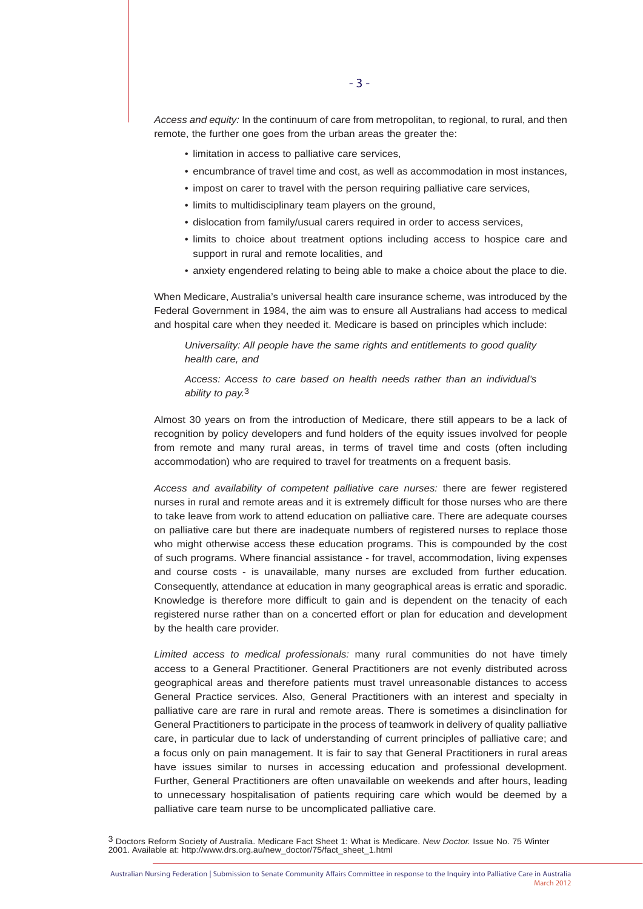*Access and equity:* In the continuum of care from metropolitan, to regional, to rural, and then remote, the further one goes from the urban areas the greater the:

- limitation in access to palliative care services,
- encumbrance of travel time and cost, as well as accommodation in most instances,
- impost on carer to travel with the person requiring palliative care services,
- limits to multidisciplinary team players on the ground,
- dislocation from family/usual carers required in order to access services,
- limits to choice about treatment options including access to hospice care and support in rural and remote localities, and
- anxiety engendered relating to being able to make a choice about the place to die.

When Medicare, Australia's universal health care insurance scheme, was introduced by the Federal Government in 1984, the aim was to ensure all Australians had access to medical and hospital care when they needed it. Medicare is based on principles which include:

*Universality: All people have the same rights and entitlements to good quality health care, and* 

*Access: Access to care based on health needs rather than an individual's ability to pay.*3

Almost 30 years on from the introduction of Medicare, there still appears to be a lack of recognition by policy developers and fund holders of the equity issues involved for people from remote and many rural areas, in terms of travel time and costs (often including accommodation) who are required to travel for treatments on a frequent basis.

*Access and availability of competent palliative care nurses:* there are fewer registered nurses in rural and remote areas and it is extremely difficult for those nurses who are there to take leave from work to attend education on palliative care. There are adequate courses on palliative care but there are inadequate numbers of registered nurses to replace those who might otherwise access these education programs. This is compounded by the cost of such programs. Where financial assistance - for travel, accommodation, living expenses and course costs - is unavailable, many nurses are excluded from further education. Consequently, attendance at education in many geographical areas is erratic and sporadic. Knowledge is therefore more difficult to gain and is dependent on the tenacity of each registered nurse rather than on a concerted effort or plan for education and development by the health care provider.

*Limited access to medical professionals:* many rural communities do not have timely access to a General Practitioner. General Practitioners are not evenly distributed across geographical areas and therefore patients must travel unreasonable distances to access General Practice services. Also, General Practitioners with an interest and specialty in palliative care are rare in rural and remote areas. There is sometimes a disinclination for General Practitioners to participate in the process of teamwork in delivery of quality palliative care, in particular due to lack of understanding of current principles of palliative care; and a focus only on pain management. It is fair to say that General Practitioners in rural areas have issues similar to nurses in accessing education and professional development. Further, General Practitioners are often unavailable on weekends and after hours, leading to unnecessary hospitalisation of patients requiring care which would be deemed by a palliative care team nurse to be uncomplicated palliative care.

3 Doctors Reform Society of Australia. Medicare Fact Sheet 1: What is Medicare. *New Doctor.* Issue No. 75 Winter 2001. Available at: http://www.drs.org.au/new\_doctor/75/fact\_sheet\_1.html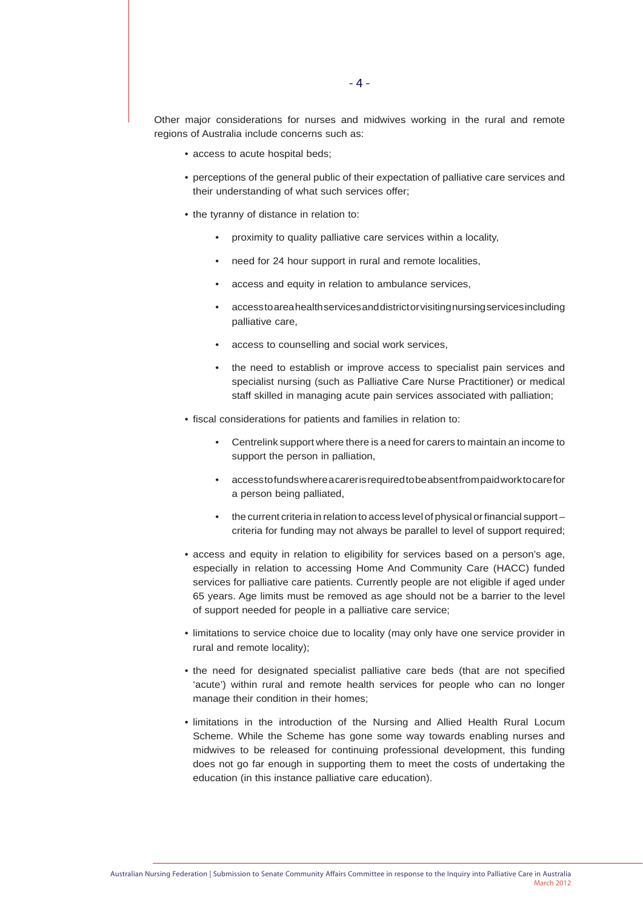Other major considerations for nurses and midwives working in the rural and remote regions of Australia include concerns such as:

- access to acute hospital beds;
- perceptions of the general public of their expectation of palliative care services and their understanding of what such services offer;
- the tyranny of distance in relation to:
	- proximity to quality palliative care services within a locality,
	- need for 24 hour support in rural and remote localities,
	- access and equity in relation to ambulance services,
	- access to area health services and district or visiting nursing services including palliative care,
	- access to counselling and social work services,
	- the need to establish or improve access to specialist pain services and specialist nursing (such as Palliative Care Nurse Practitioner) or medical staff skilled in managing acute pain services associated with palliation;
- fiscal considerations for patients and families in relation to:
	- Centrelink support where there is a need for carers to maintain an income to support the person in palliation,
	- access to funds where a carer is required to be absent from paid work to care for a person being palliated,
	- the current criteria in relation to access level of physical or financial supportcriteria for funding may not always be parallel to level of support required;
- access and equity in relation to eligibility for services based on a person's age, especially in relation to accessing Home And Community Care (HACC) funded services for palliative care patients. Currently people are not eligible if aged under 65 years. Age limits must be removed as age should not be a barrier to the level of support needed for people in a palliative care service;
- limitations to service choice due to locality (may only have one service provider in rural and remote locality);
- the need for designated specialist palliative care beds (that are not specified 'acute') within rural and remote health services for people who can no longer manage their condition in their homes;
- limitations in the introduction of the Nursing and Allied Health Rural Locum Scheme. While the Scheme has gone some way towards enabling nurses and midwives to be released for continuing professional development, this funding does not go far enough in supporting them to meet the costs of undertaking the education (in this instance palliative care education).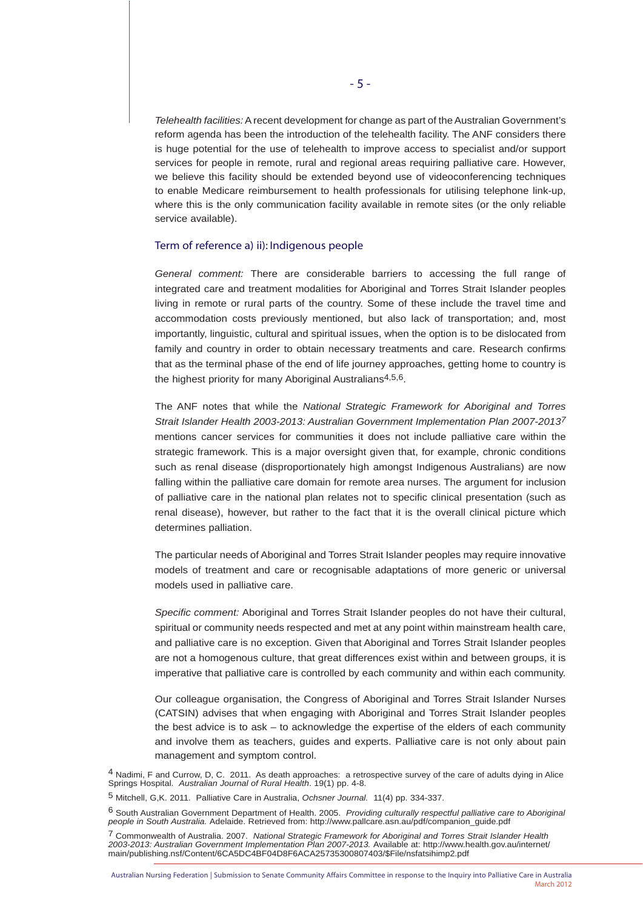*Telehealth facilities:* A recent development for change as part of the Australian Government's reform agenda has been the introduction of the telehealth facility. The ANF considers there is huge potential for the use of telehealth to improve access to specialist and/or support services for people in remote, rural and regional areas requiring palliative care. However, we believe this facility should be extended beyond use of videoconferencing techniques to enable Medicare reimbursement to health professionals for utilising telephone link-up, where this is the only communication facility available in remote sites (or the only reliable service available).

#### Term of reference a) ii): Indigenous people

*General comment:* There are considerable barriers to accessing the full range of integrated care and treatment modalities for Aboriginal and Torres Strait Islander peoples living in remote or rural parts of the country. Some of these include the travel time and accommodation costs previously mentioned, but also lack of transportation; and, most importantly, linguistic, cultural and spiritual issues, when the option is to be dislocated from family and country in order to obtain necessary treatments and care. Research confirms that as the terminal phase of the end of life journey approaches, getting home to country is the highest priority for many Aboriginal Australians $4,5,6$ .

The ANF notes that while the *National Strategic Framework for Aboriginal and Torres Strait Islander Health 2003-2013: Australian Government Implementation Plan 2007-20137* mentions cancer services for communities it does not include palliative care within the strategic framework. This is a major oversight given that, for example, chronic conditions such as renal disease (disproportionately high amongst Indigenous Australians) are now falling within the palliative care domain for remote area nurses. The argument for inclusion of palliative care in the national plan relates not to specific clinical presentation (such as renal disease), however, but rather to the fact that it is the overall clinical picture which determines palliation.

The particular needs of Aboriginal and Torres Strait Islander peoples may require innovative models of treatment and care or recognisable adaptations of more generic or universal models used in palliative care.

*Specific comment:* Aboriginal and Torres Strait Islander peoples do not have their cultural, spiritual or community needs respected and met at any point within mainstream health care, and palliative care is no exception. Given that Aboriginal and Torres Strait Islander peoples are not a homogenous culture, that great differences exist within and between groups, it is imperative that palliative care is controlled by each community and within each community.

Our colleague organisation, the Congress of Aboriginal and Torres Strait Islander Nurses (CATSIN) advises that when engaging with Aboriginal and Torres Strait Islander peoples the best advice is to ask – to acknowledge the expertise of the elders of each community and involve them as teachers, guides and experts. Palliative care is not only about pain management and symptom control.

<sup>4</sup> Nadimi, F and Currow, D, C. 2011. As death approaches: a retrospective survey of the care of adults dying in Alice Springs Hospital. *Australian Journal of Rural Health*. 19(1) pp. 4-8.

<sup>5</sup> Mitchell, G,K. 2011. Palliative Care in Australia, *Ochsner Journal.* 11(4) pp. 334-337.

<sup>6</sup> South Australian Government Department of Health. 2005. *Providing culturally respectful palliative care to Aboriginal people in South Australia.* Adelaide. Retrieved from: http://www.pallcare.asn.au/pdf/companion\_guide.pdf

<sup>7</sup> Commonwealth of Australia. 2007. National Strategic Framework for Aboriginal and Torres Strait Islander Health<br>2003-2013: Australian Government Implementation Plan 2007-2013. Available at: http://www.health.gov.au/intern main/publishing.nsf/Content/6CA5DC4BF04D8F6ACA25735300807403/\$File/nsfatsihimp2.pdf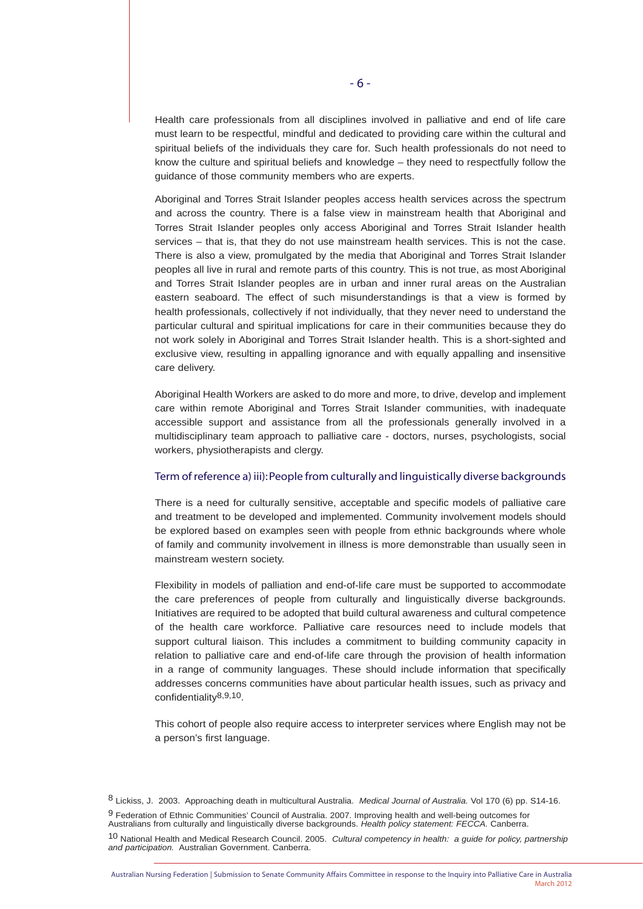Health care professionals from all disciplines involved in palliative and end of life care must learn to be respectful, mindful and dedicated to providing care within the cultural and spiritual beliefs of the individuals they care for. Such health professionals do not need to know the culture and spiritual beliefs and knowledge – they need to respectfully follow the guidance of those community members who are experts.

Aboriginal and Torres Strait Islander peoples access health services across the spectrum and across the country. There is a false view in mainstream health that Aboriginal and Torres Strait Islander peoples only access Aboriginal and Torres Strait Islander health services – that is, that they do not use mainstream health services. This is not the case. There is also a view, promulgated by the media that Aboriginal and Torres Strait Islander peoples all live in rural and remote parts of this country. This is not true, as most Aboriginal and Torres Strait Islander peoples are in urban and inner rural areas on the Australian eastern seaboard. The effect of such misunderstandings is that a view is formed by health professionals, collectively if not individually, that they never need to understand the particular cultural and spiritual implications for care in their communities because they do not work solely in Aboriginal and Torres Strait Islander health. This is a short-sighted and exclusive view, resulting in appalling ignorance and with equally appalling and insensitive care delivery.

Aboriginal Health Workers are asked to do more and more, to drive, develop and implement care within remote Aboriginal and Torres Strait Islander communities, with inadequate accessible support and assistance from all the professionals generally involved in a multidisciplinary team approach to palliative care - doctors, nurses, psychologists, social workers, physiotherapists and clergy.

#### Term of reference a) iii): People from culturally and linguistically diverse backgrounds

There is a need for culturally sensitive, acceptable and specific models of palliative care and treatment to be developed and implemented. Community involvement models should be explored based on examples seen with people from ethnic backgrounds where whole of family and community involvement in illness is more demonstrable than usually seen in mainstream western society.

Flexibility in models of palliation and end-of-life care must be supported to accommodate the care preferences of people from culturally and linguistically diverse backgrounds. Initiatives are required to be adopted that build cultural awareness and cultural competence of the health care workforce. Palliative care resources need to include models that support cultural liaison. This includes a commitment to building community capacity in relation to palliative care and end-of-life care through the provision of health information in a range of community languages. These should include information that specifically addresses concerns communities have about particular health issues, such as privacy and confidentiality8,9,10.

This cohort of people also require access to interpreter services where English may not be a person's first language.

9 Federation of Ethnic Communities' Council of Australia. 2007. Improving health and well-being outcomes for Australians from culturally and linguistically diverse backgrounds. *Health policy statement: FECCA.* Canberra. 10 National Health and Medical Research Council. 2005. *Cultural competency in health: a guide for policy, partnership and participation.* Australian Government. Canberra.

<sup>8</sup> Lickiss, J. 2003. Approaching death in multicultural Australia. *Medical Journal of Australia.* Vol 170 (6) pp. S14-16.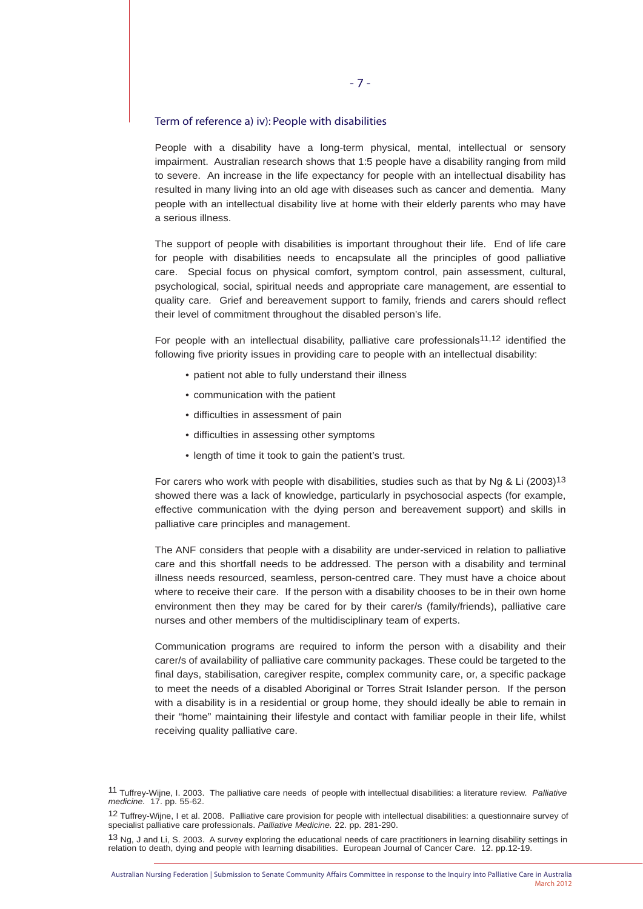#### Term of reference a) iv): People with disabilities

People with a disability have a long-term physical, mental, intellectual or sensory impairment. Australian research shows that 1:5 people have a disability ranging from mild to severe. An increase in the life expectancy for people with an intellectual disability has resulted in many living into an old age with diseases such as cancer and dementia. Many people with an intellectual disability live at home with their elderly parents who may have a serious illness.

The support of people with disabilities is important throughout their life. End of life care for people with disabilities needs to encapsulate all the principles of good palliative care. Special focus on physical comfort, symptom control, pain assessment, cultural, psychological, social, spiritual needs and appropriate care management, are essential to quality care. Grief and bereavement support to family, friends and carers should reflect their level of commitment throughout the disabled person's life.

For people with an intellectual disability, palliative care professionals<sup>11,12</sup> identified the following five priority issues in providing care to people with an intellectual disability:

- patient not able to fully understand their illness
- communication with the patient
- difficulties in assessment of pain
- difficulties in assessing other symptoms
- length of time it took to gain the patient's trust.

For carers who work with people with disabilities, studies such as that by Ng & Li (2003)<sup>13</sup> showed there was a lack of knowledge, particularly in psychosocial aspects (for example, effective communication with the dying person and bereavement support) and skills in palliative care principles and management.

The ANF considers that people with a disability are under-serviced in relation to palliative care and this shortfall needs to be addressed. The person with a disability and terminal illness needs resourced, seamless, person-centred care. They must have a choice about where to receive their care. If the person with a disability chooses to be in their own home environment then they may be cared for by their carer/s (family/friends), palliative care nurses and other members of the multidisciplinary team of experts.

Communication programs are required to inform the person with a disability and their carer/s of availability of palliative care community packages. These could be targeted to the final days, stabilisation, caregiver respite, complex community care, or, a specific package to meet the needs of a disabled Aboriginal or Torres Strait Islander person. If the person with a disability is in a residential or group home, they should ideally be able to remain in their "home" maintaining their lifestyle and contact with familiar people in their life, whilst receiving quality palliative care.

<sup>11</sup> Tuffrey-Wijne, I. 2003. The palliative care needs of people with intellectual disabilities: a literature review. *Palliative medicine.* 17. pp. 55-62.

<sup>12</sup> Tuffrey-Wijne, I et al. 2008. Palliative care provision for people with intellectual disabilities: a questionnaire survey of specialist palliative care professionals. *Palliative Medicine.* 22. pp. 281-290.

<sup>13</sup> Ng, J and Li, S. 2003. A survey exploring the educational needs of care practitioners in learning disability settings in relation to death, dying and people with learning disabilities. European Journal of Cancer Care. 12. pp.12-19.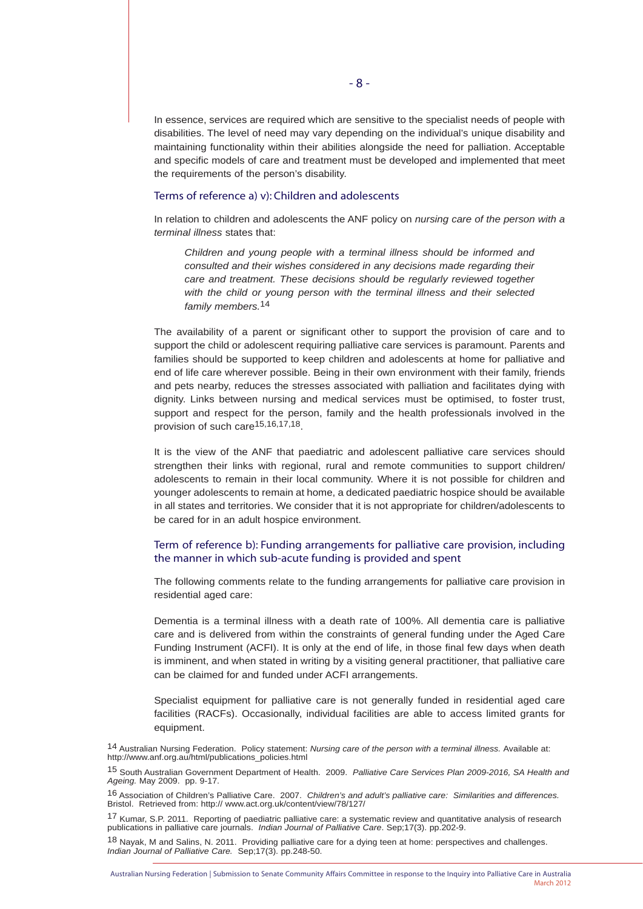In essence, services are required which are sensitive to the specialist needs of people with disabilities. The level of need may vary depending on the individual's unique disability and maintaining functionality within their abilities alongside the need for palliation. Acceptable and specific models of care and treatment must be developed and implemented that meet the requirements of the person's disability.

# Terms of reference a) v): Children and adolescents

In relation to children and adolescents the ANF policy on *nursing care of the person with a terminal illness* states that:

*Children and young people with a terminal illness should be informed and consulted and their wishes considered in any decisions made regarding their care and treatment. These decisions should be regularly reviewed together with the child or young person with the terminal illness and their selected family members.*14

The availability of a parent or significant other to support the provision of care and to support the child or adolescent requiring palliative care services is paramount. Parents and families should be supported to keep children and adolescents at home for palliative and end of life care wherever possible. Being in their own environment with their family, friends and pets nearby, reduces the stresses associated with palliation and facilitates dying with dignity. Links between nursing and medical services must be optimised, to foster trust, support and respect for the person, family and the health professionals involved in the provision of such care<sup>15,16,17,18</sup>.

It is the view of the ANF that paediatric and adolescent palliative care services should strengthen their links with regional, rural and remote communities to support children/ adolescents to remain in their local community. Where it is not possible for children and younger adolescents to remain at home, a dedicated paediatric hospice should be available in all states and territories. We consider that it is not appropriate for children/adolescents to be cared for in an adult hospice environment.

# Term of reference b): Funding arrangements for palliative care provision, including the manner in which sub-acute funding is provided and spent

The following comments relate to the funding arrangements for palliative care provision in residential aged care:

Dementia is a terminal illness with a death rate of 100%. All dementia care is palliative care and is delivered from within the constraints of general funding under the Aged Care Funding Instrument (ACFI). It is only at the end of life, in those final few days when death is imminent, and when stated in writing by a visiting general practitioner, that palliative care can be claimed for and funded under ACFI arrangements.

Specialist equipment for palliative care is not generally funded in residential aged care facilities (RACFs). Occasionally, individual facilities are able to access limited grants for equipment.

18 Nayak, M and Salins, N. 2011. Providing palliative care for a dying teen at home: perspectives and challenges. *Indian Journal of Palliative Care.* Sep;17(3). pp.248-50.

<sup>14</sup> Australian Nursing Federation. Policy statement: *Nursing care of the person with a terminal illness.* Available at: http://www.anf.org.au/html/publications\_policies.html

<sup>15</sup> South Australian Government Department of Health. 2009. *Palliative Care Services Plan 2009-2016, SA Health and Ageing.* May 2009. pp. 9-17.

<sup>16</sup> Association of Children's Palliative Care. 2007. *Children's and adult's palliative care: Similarities and differences.* Bristol. Retrieved from: http:// www.act.org.uk/content/view/78/127/

<sup>17</sup> Kumar, S.P. 2011. Reporting of paediatric palliative care: a systematic review and quantitative analysis of research publications in palliative care journals. *Indian Journal of Palliative Care*. Sep;17(3). pp.202-9.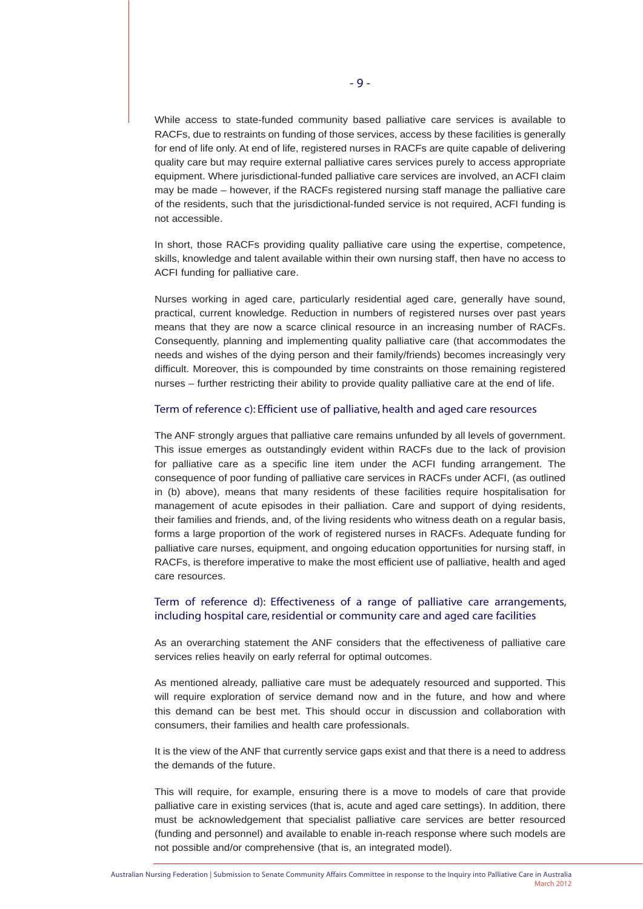While access to state-funded community based palliative care services is available to RACFs, due to restraints on funding of those services, access by these facilities is generally for end of life only. At end of life, registered nurses in RACFs are quite capable of delivering quality care but may require external palliative cares services purely to access appropriate equipment. Where jurisdictional-funded palliative care services are involved, an ACFI claim may be made – however, if the RACFs registered nursing staff manage the palliative care of the residents, such that the jurisdictional-funded service is not required, ACFI funding is not accessible.

In short, those RACFs providing quality palliative care using the expertise, competence, skills, knowledge and talent available within their own nursing staff, then have no access to ACFI funding for palliative care.

Nurses working in aged care, particularly residential aged care, generally have sound, practical, current knowledge. Reduction in numbers of registered nurses over past years means that they are now a scarce clinical resource in an increasing number of RACFs. Consequently, planning and implementing quality palliative care (that accommodates the needs and wishes of the dying person and their family/friends) becomes increasingly very difficult. Moreover, this is compounded by time constraints on those remaining registered nurses – further restricting their ability to provide quality palliative care at the end of life.

#### Term of reference c): Efficient use of palliative, health and aged care resources

The ANF strongly argues that palliative care remains unfunded by all levels of government. This issue emerges as outstandingly evident within RACFs due to the lack of provision for palliative care as a specific line item under the ACFI funding arrangement. The consequence of poor funding of palliative care services in RACFs under ACFI, (as outlined in (b) above), means that many residents of these facilities require hospitalisation for management of acute episodes in their palliation. Care and support of dying residents, their families and friends, and, of the living residents who witness death on a regular basis, forms a large proportion of the work of registered nurses in RACFs. Adequate funding for palliative care nurses, equipment, and ongoing education opportunities for nursing staff, in RACFs, is therefore imperative to make the most efficient use of palliative, health and aged care resources.

# Term of reference d): Effectiveness of a range of palliative care arrangements, including hospital care, residential or community care and aged care facilities

As an overarching statement the ANF considers that the effectiveness of palliative care services relies heavily on early referral for optimal outcomes.

As mentioned already, palliative care must be adequately resourced and supported. This will require exploration of service demand now and in the future, and how and where this demand can be best met. This should occur in discussion and collaboration with consumers, their families and health care professionals.

It is the view of the ANF that currently service gaps exist and that there is a need to address the demands of the future.

This will require, for example, ensuring there is a move to models of care that provide palliative care in existing services (that is, acute and aged care settings). In addition, there must be acknowledgement that specialist palliative care services are better resourced (funding and personnel) and available to enable in-reach response where such models are not possible and/or comprehensive (that is, an integrated model).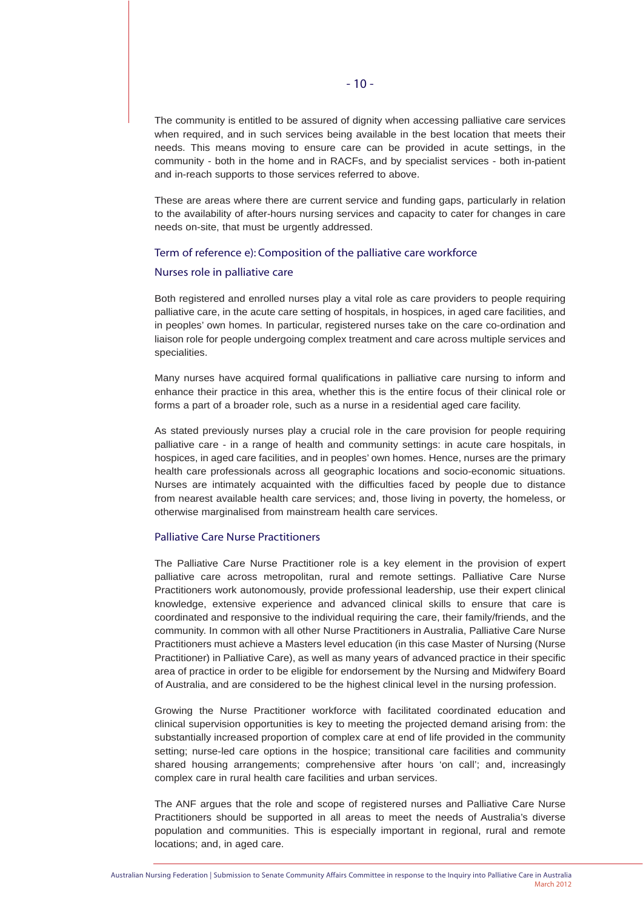The community is entitled to be assured of dignity when accessing palliative care services when required, and in such services being available in the best location that meets their needs. This means moving to ensure care can be provided in acute settings, in the community - both in the home and in RACFs, and by specialist services - both in-patient and in-reach supports to those services referred to above.

These are areas where there are current service and funding gaps, particularly in relation to the availability of after-hours nursing services and capacity to cater for changes in care needs on-site, that must be urgently addressed.

#### Term of reference e): Composition of the palliative care workforce

#### Nurses role in palliative care

Both registered and enrolled nurses play a vital role as care providers to people requiring palliative care, in the acute care setting of hospitals, in hospices, in aged care facilities, and in peoples' own homes. In particular, registered nurses take on the care co-ordination and liaison role for people undergoing complex treatment and care across multiple services and specialities.

Many nurses have acquired formal qualifications in palliative care nursing to inform and enhance their practice in this area, whether this is the entire focus of their clinical role or forms a part of a broader role, such as a nurse in a residential aged care facility.

As stated previously nurses play a crucial role in the care provision for people requiring palliative care - in a range of health and community settings: in acute care hospitals, in hospices, in aged care facilities, and in peoples' own homes. Hence, nurses are the primary health care professionals across all geographic locations and socio-economic situations. Nurses are intimately acquainted with the difficulties faced by people due to distance from nearest available health care services; and, those living in poverty, the homeless, or otherwise marginalised from mainstream health care services.

#### Palliative Care Nurse Practitioners

The Palliative Care Nurse Practitioner role is a key element in the provision of expert palliative care across metropolitan, rural and remote settings. Palliative Care Nurse Practitioners work autonomously, provide professional leadership, use their expert clinical knowledge, extensive experience and advanced clinical skills to ensure that care is coordinated and responsive to the individual requiring the care, their family/friends, and the community. In common with all other Nurse Practitioners in Australia, Palliative Care Nurse Practitioners must achieve a Masters level education (in this case Master of Nursing (Nurse Practitioner) in Palliative Care), as well as many years of advanced practice in their specific area of practice in order to be eligible for endorsement by the Nursing and Midwifery Board of Australia, and are considered to be the highest clinical level in the nursing profession.

Growing the Nurse Practitioner workforce with facilitated coordinated education and clinical supervision opportunities is key to meeting the projected demand arising from: the substantially increased proportion of complex care at end of life provided in the community setting; nurse-led care options in the hospice; transitional care facilities and community shared housing arrangements; comprehensive after hours 'on call'; and, increasingly complex care in rural health care facilities and urban services.

The ANF argues that the role and scope of registered nurses and Palliative Care Nurse Practitioners should be supported in all areas to meet the needs of Australia's diverse population and communities. This is especially important in regional, rural and remote locations; and, in aged care.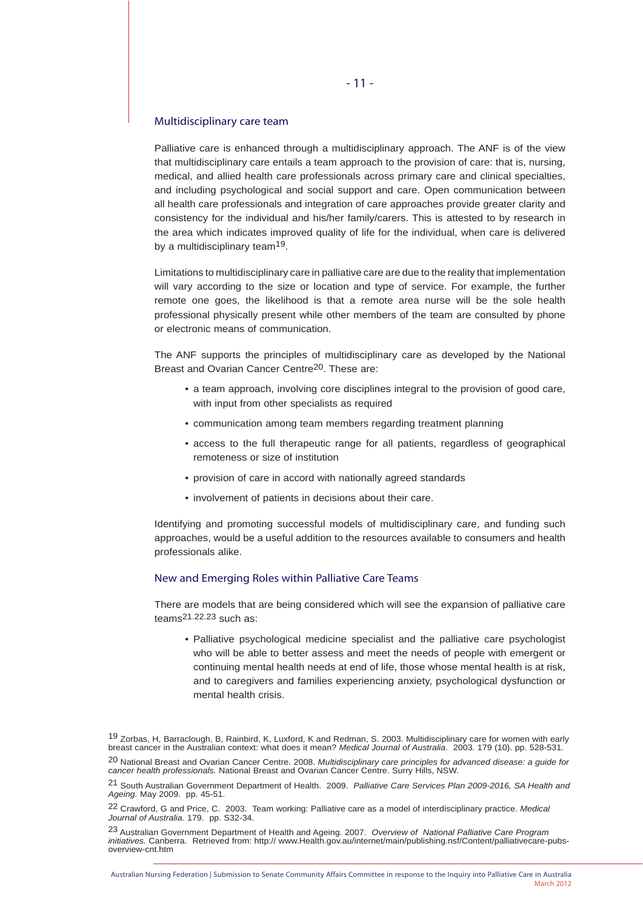#### Multidisciplinary care team

Palliative care is enhanced through a multidisciplinary approach. The ANF is of the view that multidisciplinary care entails a team approach to the provision of care: that is, nursing, medical, and allied health care professionals across primary care and clinical specialties, and including psychological and social support and care. Open communication between all health care professionals and integration of care approaches provide greater clarity and consistency for the individual and his/her family/carers. This is attested to by research in the area which indicates improved quality of life for the individual, when care is delivered by a multidisciplinary team<sup>19</sup>.

Limitations to multidisciplinary care in palliative care are due to the reality that implementation will vary according to the size or location and type of service. For example, the further remote one goes, the likelihood is that a remote area nurse will be the sole health professional physically present while other members of the team are consulted by phone or electronic means of communication.

The ANF supports the principles of multidisciplinary care as developed by the National Breast and Ovarian Cancer Centre20. These are:

- a team approach, involving core disciplines integral to the provision of good care, with input from other specialists as required
- communication among team members regarding treatment planning
- access to the full therapeutic range for all patients, regardless of geographical remoteness or size of institution
- provision of care in accord with nationally agreed standards
- involvement of patients in decisions about their care.

Identifying and promoting successful models of multidisciplinary care, and funding such approaches, would be a useful addition to the resources available to consumers and health professionals alike.

#### New and Emerging Roles within Palliative Care Teams

There are models that are being considered which will see the expansion of palliative care teams21.22.23 such as:

 • Palliative psychological medicine specialist and the palliative care psychologist who will be able to better assess and meet the needs of people with emergent or continuing mental health needs at end of life, those whose mental health is at risk, and to caregivers and families experiencing anxiety, psychological dysfunction or mental health crisis.

19 Zorbas, H, Barraclough, B, Rainbird, K, Luxford, K and Redman, S. 2003. Multidisciplinary care for women with early breast cancer in the Australian context: what does it mean? *Medical Journal of Australia*. 2003. 179 (10). pp. 528-531.

20 National Breast and Ovarian Cancer Centre. 2008. *Multidisciplinary care principles for advanced disease: a guide for cancer health professionals.* National Breast and Ovarian Cancer Centre. Surry Hills, NSW.

21 South Australian Government Department of Health. 2009. *Palliative Care Services Plan 2009-2016, SA Health and Ageing.* May 2009. pp. 45-51.

<sup>22</sup> Crawford, G and Price, C. 2003. Team working: Palliative care as a model of interdisciplinary practice. *Medical Journal of Australia.* 179. pp. S32-34.

<sup>23</sup> Australian Government Department of Health and Ageing. 2007. *Overview of National Palliative Care Program initiatives.* Canberra. Retrieved from: http:// www.Health.gov.au/internet/main/publishing.nsf/Content/palliativecare-pubsoverview-cnt.htm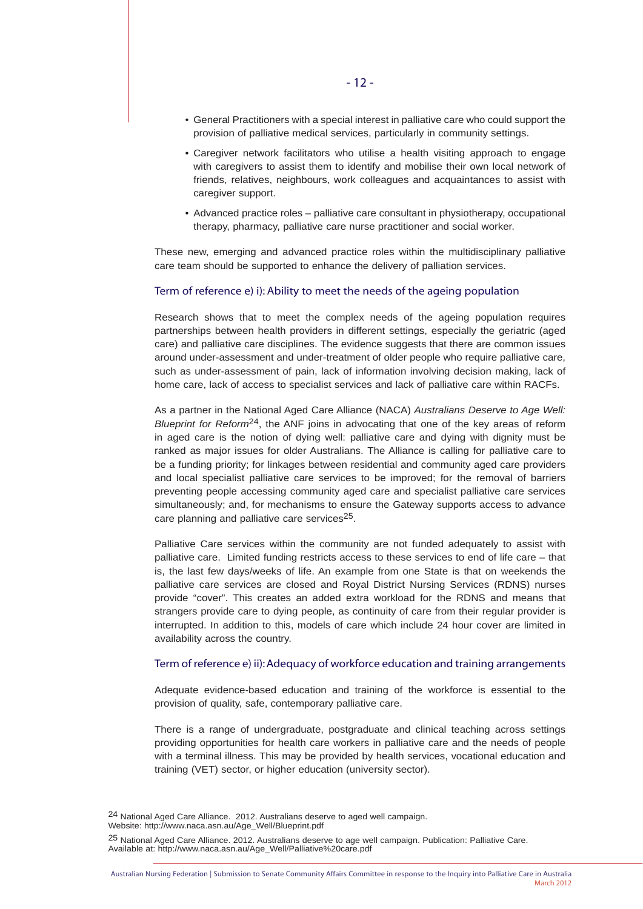- General Practitioners with a special interest in palliative care who could support the provision of palliative medical services, particularly in community settings.
- Caregiver network facilitators who utilise a health visiting approach to engage with caregivers to assist them to identify and mobilise their own local network of friends, relatives, neighbours, work colleagues and acquaintances to assist with caregiver support.
- Advanced practice roles palliative care consultant in physiotherapy, occupational therapy, pharmacy, palliative care nurse practitioner and social worker.

These new, emerging and advanced practice roles within the multidisciplinary palliative care team should be supported to enhance the delivery of palliation services.

#### Term of reference e) i): Ability to meet the needs of the ageing population

Research shows that to meet the complex needs of the ageing population requires partnerships between health providers in different settings, especially the geriatric (aged care) and palliative care disciplines. The evidence suggests that there are common issues around under-assessment and under-treatment of older people who require palliative care, such as under-assessment of pain, lack of information involving decision making, lack of home care, lack of access to specialist services and lack of palliative care within RACFs.

As a partner in the National Aged Care Alliance (NACA) *Australians Deserve to Age Well: Blueprint for Reform*24, the ANF joins in advocating that one of the key areas of reform in aged care is the notion of dying well: palliative care and dying with dignity must be ranked as major issues for older Australians. The Alliance is calling for palliative care to be a funding priority; for linkages between residential and community aged care providers and local specialist palliative care services to be improved; for the removal of barriers preventing people accessing community aged care and specialist palliative care services simultaneously; and, for mechanisms to ensure the Gateway supports access to advance care planning and palliative care services<sup>25</sup>.

Palliative Care services within the community are not funded adequately to assist with palliative care. Limited funding restricts access to these services to end of life care – that is, the last few days/weeks of life. An example from one State is that on weekends the palliative care services are closed and Royal District Nursing Services (RDNS) nurses provide "cover". This creates an added extra workload for the RDNS and means that strangers provide care to dying people, as continuity of care from their regular provider is interrupted. In addition to this, models of care which include 24 hour cover are limited in availability across the country.

#### Term of reference e) ii): Adequacy of workforce education and training arrangements

Adequate evidence-based education and training of the workforce is essential to the provision of quality, safe, contemporary palliative care.

There is a range of undergraduate, postgraduate and clinical teaching across settings providing opportunities for health care workers in palliative care and the needs of people with a terminal illness. This may be provided by health services, vocational education and training (VET) sector, or higher education (university sector).

24 National Aged Care Alliance. 2012. Australians deserve to aged well campaign. Website: http://www.naca.asn.au/Age\_Well/Blueprint.pdf

<sup>25</sup> National Aged Care Alliance. 2012. Australians deserve to age well campaign. Publication: Palliative Care. Available at: http://www.naca.asn.au/Age\_Well/Palliative%20care.pdf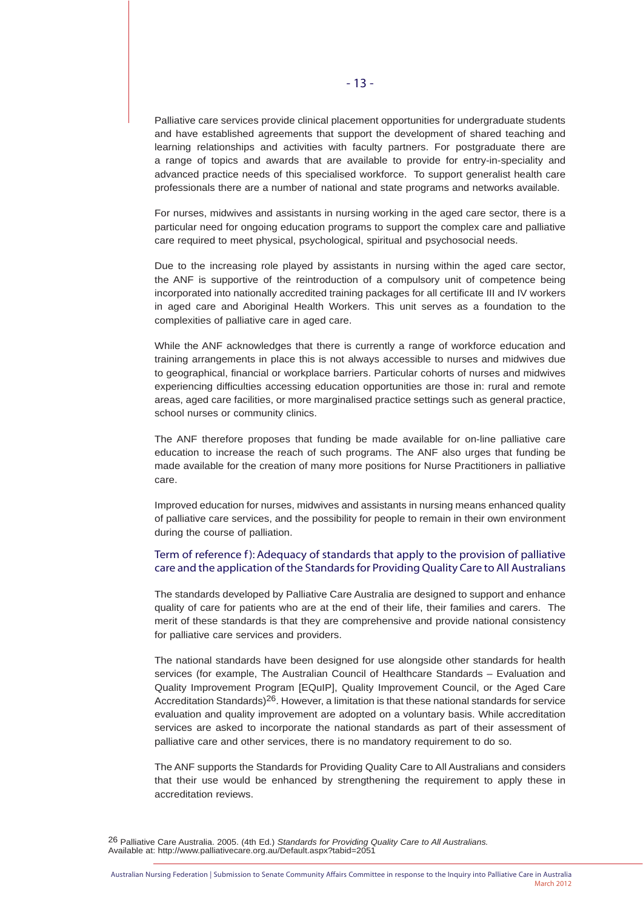Palliative care services provide clinical placement opportunities for undergraduate students and have established agreements that support the development of shared teaching and learning relationships and activities with faculty partners. For postgraduate there are a range of topics and awards that are available to provide for entry-in-speciality and advanced practice needs of this specialised workforce. To support generalist health care professionals there are a number of national and state programs and networks available.

For nurses, midwives and assistants in nursing working in the aged care sector, there is a particular need for ongoing education programs to support the complex care and palliative care required to meet physical, psychological, spiritual and psychosocial needs.

Due to the increasing role played by assistants in nursing within the aged care sector, the ANF is supportive of the reintroduction of a compulsory unit of competence being incorporated into nationally accredited training packages for all certificate III and IV workers in aged care and Aboriginal Health Workers. This unit serves as a foundation to the complexities of palliative care in aged care.

While the ANF acknowledges that there is currently a range of workforce education and training arrangements in place this is not always accessible to nurses and midwives due to geographical, financial or workplace barriers. Particular cohorts of nurses and midwives experiencing difficulties accessing education opportunities are those in: rural and remote areas, aged care facilities, or more marginalised practice settings such as general practice, school nurses or community clinics.

The ANF therefore proposes that funding be made available for on-line palliative care education to increase the reach of such programs. The ANF also urges that funding be made available for the creation of many more positions for Nurse Practitioners in palliative care.

Improved education for nurses, midwives and assistants in nursing means enhanced quality of palliative care services, and the possibility for people to remain in their own environment during the course of palliation.

# Term of reference f): Adequacy of standards that apply to the provision of palliative care and the application of the Standards for Providing Quality Care to All Australians

The standards developed by Palliative Care Australia are designed to support and enhance quality of care for patients who are at the end of their life, their families and carers. The merit of these standards is that they are comprehensive and provide national consistency for palliative care services and providers.

The national standards have been designed for use alongside other standards for health services (for example, The Australian Council of Healthcare Standards – Evaluation and Quality Improvement Program [EQuIP], Quality Improvement Council, or the Aged Care Accreditation Standards)<sup>26</sup>. However, a limitation is that these national standards for service evaluation and quality improvement are adopted on a voluntary basis. While accreditation services are asked to incorporate the national standards as part of their assessment of palliative care and other services, there is no mandatory requirement to do so.

The ANF supports the Standards for Providing Quality Care to All Australians and considers that their use would be enhanced by strengthening the requirement to apply these in accreditation reviews.

26 Palliative Care Australia. 2005. (4th Ed.) *Standards for Providing Quality Care to All Australians.* Available at: http://www.palliativecare.org.au/Default.aspx?tabid=2051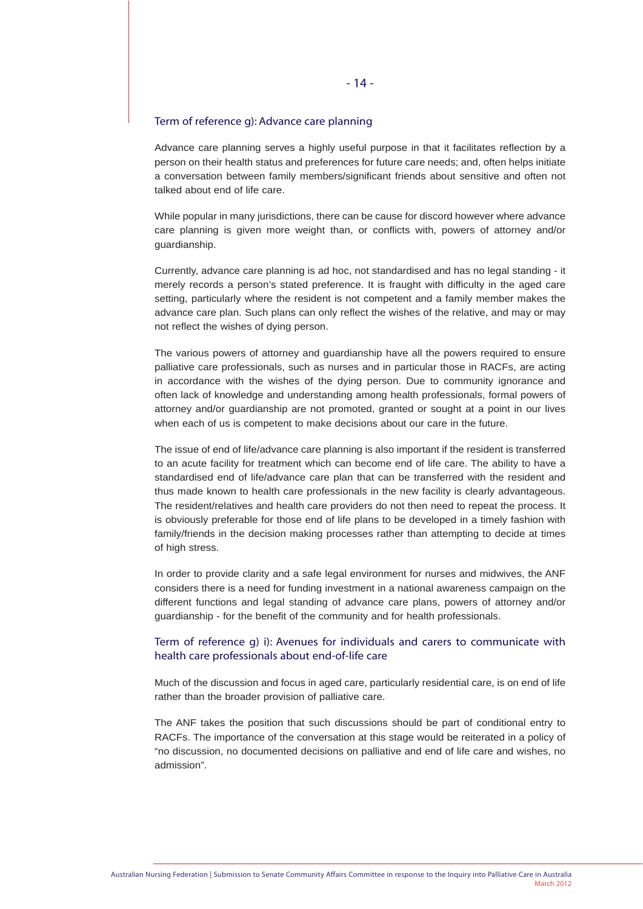#### Term of reference g): Advance care planning

Advance care planning serves a highly useful purpose in that it facilitates reflection by a person on their health status and preferences for future care needs; and, often helps initiate a conversation between family members/significant friends about sensitive and often not talked about end of life care.

While popular in many jurisdictions, there can be cause for discord however where advance care planning is given more weight than, or conflicts with, powers of attorney and/or guardianship.

Currently, advance care planning is ad hoc, not standardised and has no legal standing - it merely records a person's stated preference. It is fraught with difficulty in the aged care setting, particularly where the resident is not competent and a family member makes the advance care plan. Such plans can only reflect the wishes of the relative, and may or may not reflect the wishes of dying person.

The various powers of attorney and guardianship have all the powers required to ensure palliative care professionals, such as nurses and in particular those in RACFs, are acting in accordance with the wishes of the dying person. Due to community ignorance and often lack of knowledge and understanding among health professionals, formal powers of attorney and/or guardianship are not promoted, granted or sought at a point in our lives when each of us is competent to make decisions about our care in the future.

The issue of end of life/advance care planning is also important if the resident is transferred to an acute facility for treatment which can become end of life care. The ability to have a standardised end of life/advance care plan that can be transferred with the resident and thus made known to health care professionals in the new facility is clearly advantageous. The resident/relatives and health care providers do not then need to repeat the process. It is obviously preferable for those end of life plans to be developed in a timely fashion with family/friends in the decision making processes rather than attempting to decide at times of high stress.

In order to provide clarity and a safe legal environment for nurses and midwives, the ANF considers there is a need for funding investment in a national awareness campaign on the different functions and legal standing of advance care plans, powers of attorney and/or guardianship - for the benefit of the community and for health professionals.

# Term of reference g) i): Avenues for individuals and carers to communicate with health care professionals about end-of-life care

Much of the discussion and focus in aged care, particularly residential care, is on end of life rather than the broader provision of palliative care.

The ANF takes the position that such discussions should be part of conditional entry to RACFs. The importance of the conversation at this stage would be reiterated in a policy of "no discussion, no documented decisions on palliative and end of life care and wishes, no admission".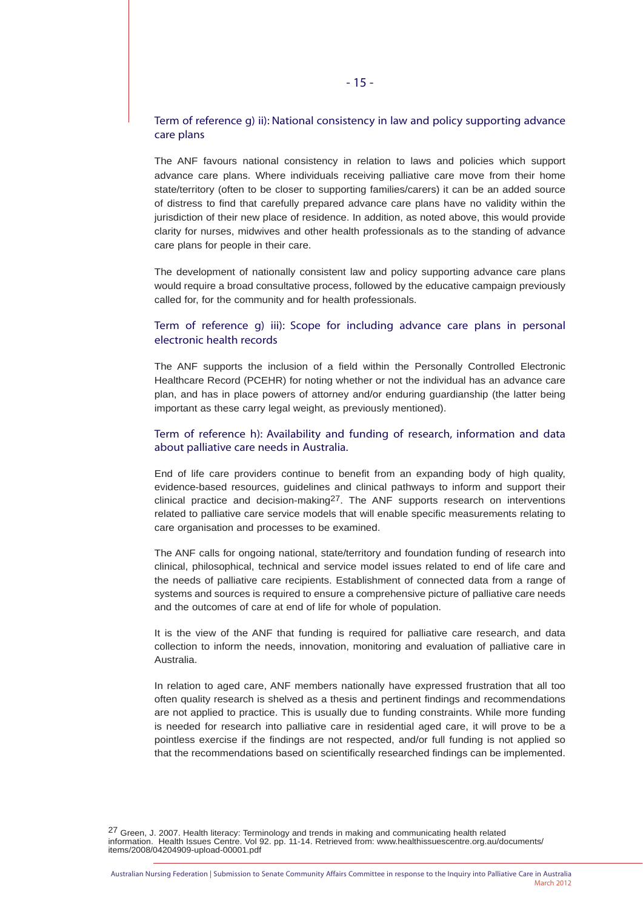# Term of reference g) ii): National consistency in law and policy supporting advance care plans

The ANF favours national consistency in relation to laws and policies which support advance care plans. Where individuals receiving palliative care move from their home state/territory (often to be closer to supporting families/carers) it can be an added source of distress to find that carefully prepared advance care plans have no validity within the jurisdiction of their new place of residence. In addition, as noted above, this would provide clarity for nurses, midwives and other health professionals as to the standing of advance care plans for people in their care.

The development of nationally consistent law and policy supporting advance care plans would require a broad consultative process, followed by the educative campaign previously called for, for the community and for health professionals.

# Term of reference g) iii): Scope for including advance care plans in personal electronic health records

The ANF supports the inclusion of a field within the Personally Controlled Electronic Healthcare Record (PCEHR) for noting whether or not the individual has an advance care plan, and has in place powers of attorney and/or enduring guardianship (the latter being important as these carry legal weight, as previously mentioned).

# Term of reference h): Availability and funding of research, information and data about palliative care needs in Australia.

End of life care providers continue to benefit from an expanding body of high quality, evidence-based resources, guidelines and clinical pathways to inform and support their clinical practice and decision-making27. The ANF supports research on interventions related to palliative care service models that will enable specific measurements relating to care organisation and processes to be examined.

The ANF calls for ongoing national, state/territory and foundation funding of research into clinical, philosophical, technical and service model issues related to end of life care and the needs of palliative care recipients. Establishment of connected data from a range of systems and sources is required to ensure a comprehensive picture of palliative care needs and the outcomes of care at end of life for whole of population.

It is the view of the ANF that funding is required for palliative care research, and data collection to inform the needs, innovation, monitoring and evaluation of palliative care in Australia.

In relation to aged care, ANF members nationally have expressed frustration that all too often quality research is shelved as a thesis and pertinent findings and recommendations are not applied to practice. This is usually due to funding constraints. While more funding is needed for research into palliative care in residential aged care, it will prove to be a pointless exercise if the findings are not respected, and/or full funding is not applied so that the recommendations based on scientifically researched findings can be implemented.

<sup>27</sup> Green, J. 2007. Health literacy: Terminology and trends in making and communicating health related<br>information. Health Issues Centre. Vol 92. pp. 11-14. Retrieved from: www.healthissuescentre.org.au/documents/ items/2008/04204909-upload-00001.pdf